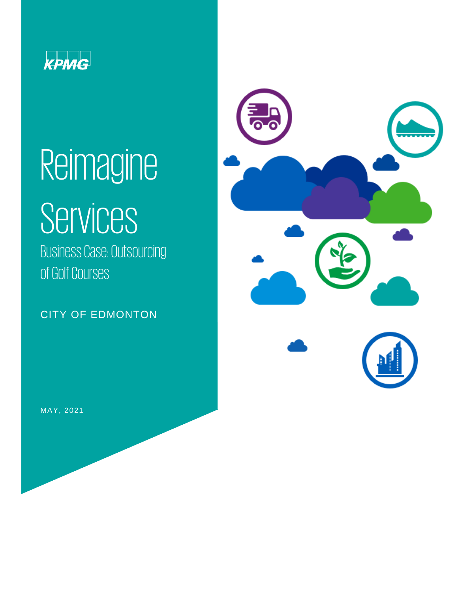

# Reimagine

# **Services**

Business Case: Outsourcing of Golf Courses

CITY OF EDMONTON



MAY, 2021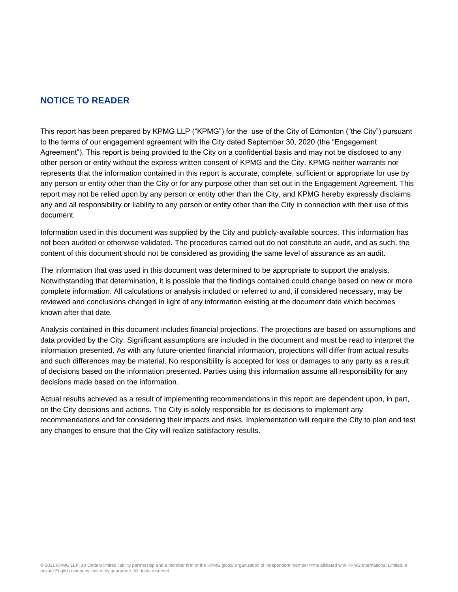# **NOTICE TO READER**

This report has been prepared by KPMG LLP ("KPMG") for the use of the City of Edmonton ("the City") pursuant to the terms of our engagement agreement with the City dated September 30, 2020 (the "Engagement Agreement"). This report is being provided to the City on a confidential basis and may not be disclosed to any other person or entity without the express written consent of KPMG and the City. KPMG neither warrants nor represents that the information contained in this report is accurate, complete, sufficient or appropriate for use by any person or entity other than the City or for any purpose other than set out in the Engagement Agreement. This report may not be relied upon by any person or entity other than the City, and KPMG hereby expressly disclaims any and all responsibility or liability to any person or entity other than the City in connection with their use of this document.

Information used in this document was supplied by the City and publicly-available sources. This information has not been audited or otherwise validated. The procedures carried out do not constitute an audit, and as such, the content of this document should not be considered as providing the same level of assurance as an audit.

The information that was used in this document was determined to be appropriate to support the analysis. Notwithstanding that determination, it is possible that the findings contained could change based on new or more complete information. All calculations or analysis included or referred to and, if considered necessary, may be reviewed and conclusions changed in light of any information existing at the document date which becomes known after that date.

Analysis contained in this document includes financial projections. The projections are based on assumptions and data provided by the City. Significant assumptions are included in the document and must be read to interpret the information presented. As with any future-oriented financial information, projections will differ from actual results and such differences may be material. No responsibility is accepted for loss or damages to any party as a result of decisions based on the information presented. Parties using this information assume all responsibility for any decisions made based on the information.

Actual results achieved as a result of implementing recommendations in this report are dependent upon, in part, on the City decisions and actions. The City is solely responsible for its decisions to implement any recommendations and for considering their impacts and risks. Implementation will require the City to plan and test any changes to ensure that the City will realize satisfactory results.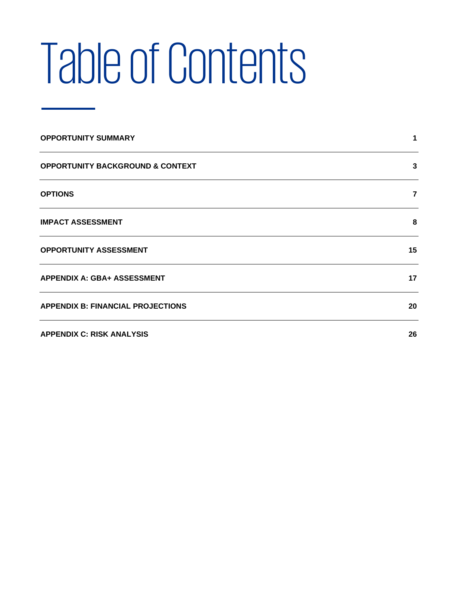# Table of Contents

| <b>OPPORTUNITY SUMMARY</b>                  |                |
|---------------------------------------------|----------------|
| <b>OPPORTUNITY BACKGROUND &amp; CONTEXT</b> | 3              |
| <b>OPTIONS</b>                              | $\overline{7}$ |
| <b>IMPACT ASSESSMENT</b>                    | 8              |
| <b>OPPORTUNITY ASSESSMENT</b>               | 15             |
| <b>APPENDIX A: GBA+ ASSESSMENT</b>          | 17             |
| <b>APPENDIX B: FINANCIAL PROJECTIONS</b>    | 20             |
| <b>APPENDIX C: RISK ANALYSIS</b>            | 26             |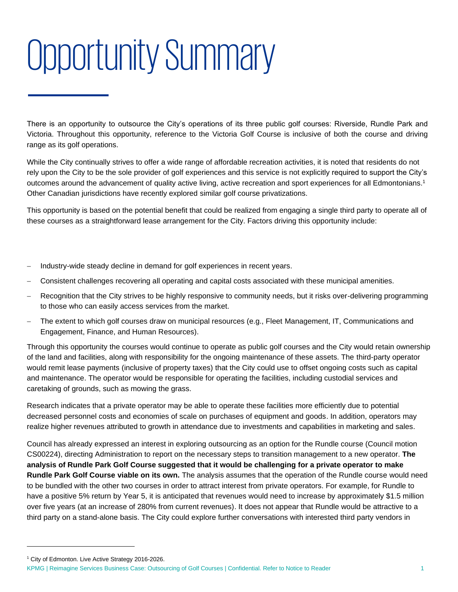# <span id="page-3-0"></span>Opportunity Summary

There is an opportunity to outsource the City's operations of its three public golf courses: Riverside, Rundle Park and Victoria. Throughout this opportunity, reference to the Victoria Golf Course is inclusive of both the course and driving range as its golf operations.

While the City continually strives to offer a wide range of affordable recreation activities, it is noted that residents do not rely upon the City to be the sole provider of golf experiences and this service is not explicitly required to support the City's outcomes around the advancement of quality active living, active recreation and sport experiences for all Edmontonians.<sup>1</sup> Other Canadian jurisdictions have recently explored similar golf course privatizations.

This opportunity is based on the potential benefit that could be realized from engaging a single third party to operate all of these courses as a straightforward lease arrangement for the City. Factors driving this opportunity include:

- Industry-wide steady decline in demand for golf experiences in recent years.
- − Consistent challenges recovering all operating and capital costs associated with these municipal amenities.
- Recognition that the City strives to be highly responsive to community needs, but it risks over-delivering programming to those who can easily access services from the market.
- The extent to which golf courses draw on municipal resources (e.g., Fleet Management, IT, Communications and Engagement, Finance, and Human Resources).

Through this opportunity the courses would continue to operate as public golf courses and the City would retain ownership of the land and facilities, along with responsibility for the ongoing maintenance of these assets. The third-party operator would remit lease payments (inclusive of property taxes) that the City could use to offset ongoing costs such as capital and maintenance. The operator would be responsible for operating the facilities, including custodial services and caretaking of grounds, such as mowing the grass.

Research indicates that a private operator may be able to operate these facilities more efficiently due to potential decreased personnel costs and economies of scale on purchases of equipment and goods. In addition, operators may realize higher revenues attributed to growth in attendance due to investments and capabilities in marketing and sales.

Council has already expressed an interest in exploring outsourcing as an option for the Rundle course (Council motion CS00224), directing Administration to report on the necessary steps to transition management to a new operator. **The analysis of Rundle Park Golf Course suggested that it would be challenging for a private operator to make Rundle Park Golf Course viable on its own.** The analysis assumes that the operation of the Rundle course would need to be bundled with the other two courses in order to attract interest from private operators. For example, for Rundle to have a positive 5% return by Year 5, it is anticipated that revenues would need to increase by approximately \$1.5 million over five years (at an increase of 280% from current revenues). It does not appear that Rundle would be attractive to a third party on a stand-alone basis. The City could explore further conversations with interested third party vendors in

<sup>&</sup>lt;sup>1</sup> City of Edmonton. Live Active Strategy 2016-2026.

KPMG | Reimagine Services Business Case: Outsourcing of Golf Courses | Confidential. Refer to Notice to Reader 1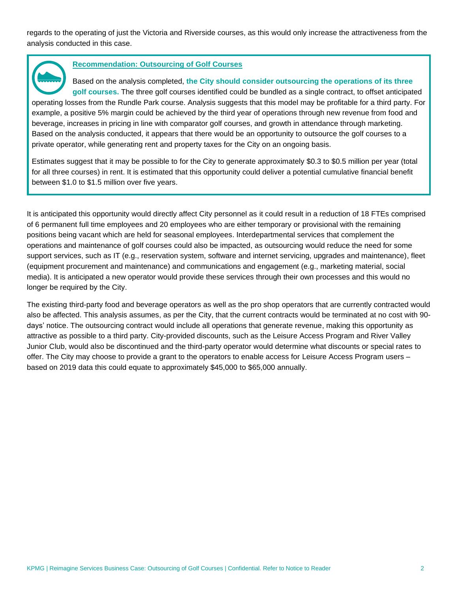regards to the operating of just the Victoria and Riverside courses, as this would only increase the attractiveness from the analysis conducted in this case.

#### **Recommendation: Outsourcing of Golf Courses**

Based on the analysis completed, **the City should consider outsourcing the operations of its three golf courses.** The three golf courses identified could be bundled as a single contract, to offset anticipated operating losses from the Rundle Park course. Analysis suggests that this model may be profitable for a third party. For example, a positive 5% margin could be achieved by the third year of operations through new revenue from food and beverage, increases in pricing in line with comparator golf courses, and growth in attendance through marketing. Based on the analysis conducted, it appears that there would be an opportunity to outsource the golf courses to a private operator, while generating rent and property taxes for the City on an ongoing basis.

Estimates suggest that it may be possible to for the City to generate approximately \$0.3 to \$0.5 million per year (total for all three courses) in rent. It is estimated that this opportunity could deliver a potential cumulative financial benefit between \$1.0 to \$1.5 million over five years.

It is anticipated this opportunity would directly affect City personnel as it could result in a reduction of 18 FTEs comprised of 6 permanent full time employees and 20 employees who are either temporary or provisional with the remaining positions being vacant which are held for seasonal employees. Interdepartmental services that complement the operations and maintenance of golf courses could also be impacted, as outsourcing would reduce the need for some support services, such as IT (e.g., reservation system, software and internet servicing, upgrades and maintenance), fleet (equipment procurement and maintenance) and communications and engagement (e.g., marketing material, social media). It is anticipated a new operator would provide these services through their own processes and this would no longer be required by the City.

The existing third-party food and beverage operators as well as the pro shop operators that are currently contracted would also be affected. This analysis assumes, as per the City, that the current contracts would be terminated at no cost with 90 days' notice. The outsourcing contract would include all operations that generate revenue, making this opportunity as attractive as possible to a third party. City-provided discounts, such as the Leisure Access Program and River Valley Junior Club, would also be discontinued and the third-party operator would determine what discounts or special rates to offer. The City may choose to provide a grant to the operators to enable access for Leisure Access Program users – based on 2019 data this could equate to approximately \$45,000 to \$65,000 annually.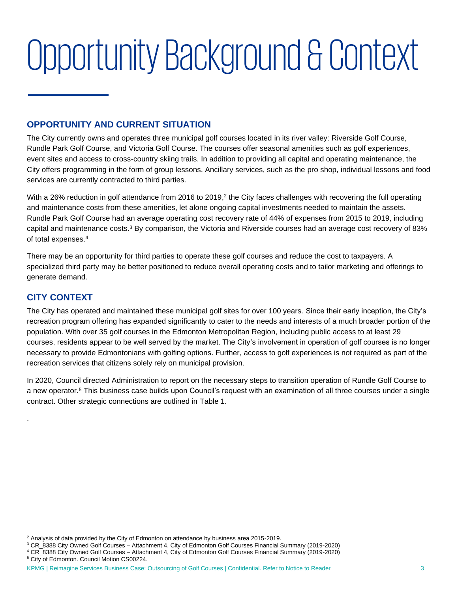# <span id="page-5-0"></span>Opportunity Background & Context

# **OPPORTUNITY AND CURRENT SITUATION**

The City currently owns and operates three municipal golf courses located in its river valley: Riverside Golf Course, Rundle Park Golf Course, and Victoria Golf Course. The courses offer seasonal amenities such as golf experiences, event sites and access to cross-country skiing trails. In addition to providing all capital and operating maintenance, the City offers programming in the form of group lessons. Ancillary services, such as the pro shop, individual lessons and food services are currently contracted to third parties.

With a 26% reduction in golf attendance from 2016 to 2019,<sup>2</sup> the City faces challenges with recovering the full operating and maintenance costs from these amenities, let alone ongoing capital investments needed to maintain the assets. Rundle Park Golf Course had an average operating cost recovery rate of 44% of expenses from 2015 to 2019, including capital and maintenance costs.<sup>3</sup> By comparison, the Victoria and Riverside courses had an average cost recovery of 83% of total expenses. 4

There may be an opportunity for third parties to operate these golf courses and reduce the cost to taxpayers. A specialized third party may be better positioned to reduce overall operating costs and to tailor marketing and offerings to generate demand.

# **CITY CONTEXT**

.

The City has operated and maintained these municipal golf sites for over 100 years. Since their early inception, the City's recreation program offering has expanded significantly to cater to the needs and interests of a much broader portion of the population. With over 35 golf courses in the Edmonton Metropolitan Region, including public access to at least 29 courses, residents appear to be well served by the market. The City's involvement in operation of golf courses is no longer necessary to provide Edmontonians with golfing options. Further, access to golf experiences is not required as part of the recreation services that citizens solely rely on municipal provision.

In 2020, Council directed Administration to report on the necessary steps to transition operation of Rundle Golf Course to a new operator.<sup>5</sup> This business case builds upon Council's request with an examination of all three courses under a single contract. Other strategic connections are outlined in [Table 1.](#page-6-0)

<sup>2</sup> Analysis of data provided by the City of Edmonton on attendance by business area 2015-2019.

<sup>3</sup> CR\_8388 City Owned Golf Courses – Attachment 4, City of Edmonton Golf Courses Financial Summary (2019-2020)

<sup>4</sup> CR\_8388 City Owned Golf Courses – Attachment 4, City of Edmonton Golf Courses Financial Summary (2019-2020) <sup>5</sup> City of Edmonton. Council Motion CS00224.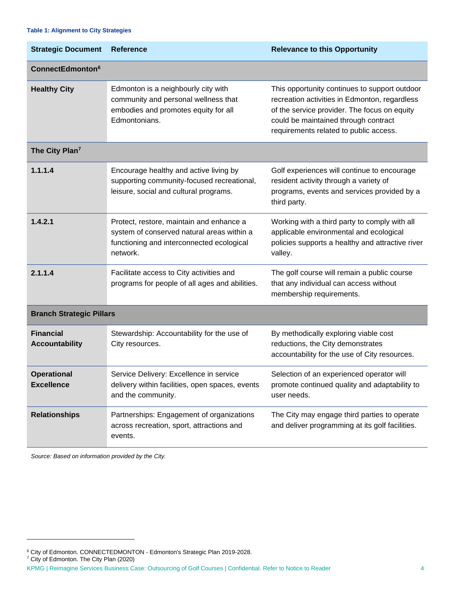#### <span id="page-6-0"></span>**Table 1: Alignment to City Strategies**

| <b>Strategic Document</b>                 | <b>Reference</b>                                                                                                                                | <b>Relevance to this Opportunity</b>                                                                                                                                                                                             |
|-------------------------------------------|-------------------------------------------------------------------------------------------------------------------------------------------------|----------------------------------------------------------------------------------------------------------------------------------------------------------------------------------------------------------------------------------|
| <b>ConnectEdmonton<sup>6</sup></b>        |                                                                                                                                                 |                                                                                                                                                                                                                                  |
| <b>Healthy City</b>                       | Edmonton is a neighbourly city with<br>community and personal wellness that<br>embodies and promotes equity for all<br>Edmontonians.            | This opportunity continues to support outdoor<br>recreation activities in Edmonton, regardless<br>of the service provider. The focus on equity<br>could be maintained through contract<br>requirements related to public access. |
| The City Plan <sup>7</sup>                |                                                                                                                                                 |                                                                                                                                                                                                                                  |
| 1.1.1.4                                   | Encourage healthy and active living by<br>supporting community-focused recreational,<br>leisure, social and cultural programs.                  | Golf experiences will continue to encourage<br>resident activity through a variety of<br>programs, events and services provided by a<br>third party.                                                                             |
| 1.4.2.1                                   | Protect, restore, maintain and enhance a<br>system of conserved natural areas within a<br>functioning and interconnected ecological<br>network. | Working with a third party to comply with all<br>applicable environmental and ecological<br>policies supports a healthy and attractive river<br>valley.                                                                          |
| 2.1.1.4                                   | Facilitate access to City activities and<br>programs for people of all ages and abilities.                                                      | The golf course will remain a public course<br>that any individual can access without<br>membership requirements.                                                                                                                |
| <b>Branch Strategic Pillars</b>           |                                                                                                                                                 |                                                                                                                                                                                                                                  |
| <b>Financial</b><br><b>Accountability</b> | Stewardship: Accountability for the use of<br>City resources.                                                                                   | By methodically exploring viable cost<br>reductions, the City demonstrates<br>accountability for the use of City resources.                                                                                                      |
| <b>Operational</b><br><b>Excellence</b>   | Service Delivery: Excellence in service<br>delivery within facilities, open spaces, events<br>and the community.                                | Selection of an experienced operator will<br>promote continued quality and adaptability to<br>user needs.                                                                                                                        |
| <b>Relationships</b>                      | Partnerships: Engagement of organizations<br>across recreation, sport, attractions and<br>events.                                               | The City may engage third parties to operate<br>and deliver programming at its golf facilities.                                                                                                                                  |

*Source: Based on information provided by the City.*

<sup>7</sup> City of Edmonton. The City Plan (2020)

<sup>&</sup>lt;sup>6</sup> City of Edmonton. CONNECTEDMONTON - Edmonton's Strategic Plan 2019-2028.

KPMG | Reimagine Services Business Case: Outsourcing of Golf Courses | Confidential. Refer to Notice to Reader 4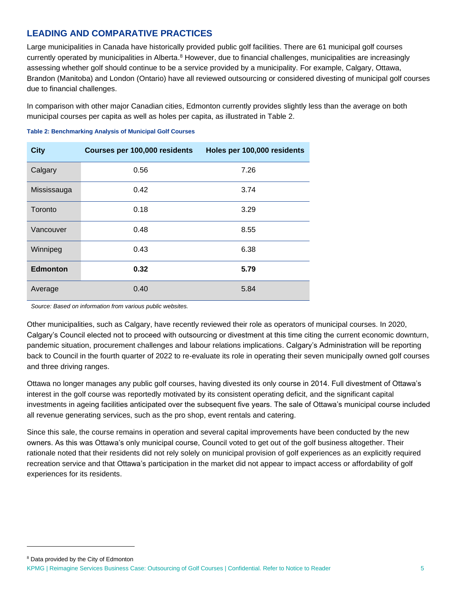# **LEADING AND COMPARATIVE PRACTICES**

Large municipalities in Canada have historically provided public golf facilities. There are 61 municipal golf courses currently operated by municipalities in Alberta.<sup>8</sup> However, due to financial challenges, municipalities are increasingly assessing whether golf should continue to be a service provided by a municipality. For example, Calgary, Ottawa, Brandon (Manitoba) and London (Ontario) have all reviewed outsourcing or considered divesting of municipal golf courses due to financial challenges.

In comparison with other major Canadian cities, Edmonton currently provides slightly less than the average on both municipal courses per capita as well as holes per capita, as illustrated in [Table 2.](#page-7-0)

#### <span id="page-7-0"></span>**Table 2: Benchmarking Analysis of Municipal Golf Courses**

| <b>City</b>     | Courses per 100,000 residents | Holes per 100,000 residents |
|-----------------|-------------------------------|-----------------------------|
| Calgary         | 0.56                          | 7.26                        |
| Mississauga     | 0.42                          | 3.74                        |
| Toronto         | 0.18                          | 3.29                        |
| Vancouver       | 0.48                          | 8.55                        |
| Winnipeg        | 0.43                          | 6.38                        |
| <b>Edmonton</b> | 0.32                          | 5.79                        |
| Average         | 0.40                          | 5.84                        |

*Source: Based on information from various public websites.* 

Other municipalities, such as Calgary, have recently reviewed their role as operators of municipal courses. In 2020, Calgary's Council elected not to proceed with outsourcing or divestment at this time citing the current economic downturn, pandemic situation, procurement challenges and labour relations implications. Calgary's Administration will be reporting back to Council in the fourth quarter of 2022 to re-evaluate its role in operating their seven municipally owned golf courses and three driving ranges.

Ottawa no longer manages any public golf courses, having divested its only course in 2014. Full divestment of Ottawa's interest in the golf course was reportedly motivated by its consistent operating deficit, and the significant capital investments in ageing facilities anticipated over the subsequent five years. The sale of Ottawa's municipal course included all revenue generating services, such as the pro shop, event rentals and catering.

Since this sale, the course remains in operation and several capital improvements have been conducted by the new owners. As this was Ottawa's only municipal course, Council voted to get out of the golf business altogether. Their rationale noted that their residents did not rely solely on municipal provision of golf experiences as an explicitly required recreation service and that Ottawa's participation in the market did not appear to impact access or affordability of golf experiences for its residents.

KPMG | Reimagine Services Business Case: Outsourcing of Golf Courses | Confidential. Refer to Notice to Reader 5 <sup>8</sup> Data provided by the City of Edmonton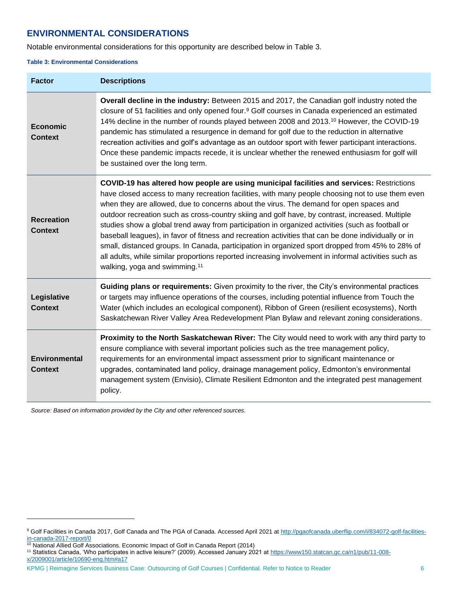# **ENVIRONMENTAL CONSIDERATIONS**

Notable environmental considerations for this opportunity are described below in [Table 3.](#page-8-0)

#### <span id="page-8-0"></span>**Table 3: Environmental Considerations**

| <b>Factor</b>                          | <b>Descriptions</b>                                                                                                                                                                                                                                                                                                                                                                                                                                                                                                                                                                                                                                                                                                                                                                                                                                            |
|----------------------------------------|----------------------------------------------------------------------------------------------------------------------------------------------------------------------------------------------------------------------------------------------------------------------------------------------------------------------------------------------------------------------------------------------------------------------------------------------------------------------------------------------------------------------------------------------------------------------------------------------------------------------------------------------------------------------------------------------------------------------------------------------------------------------------------------------------------------------------------------------------------------|
| <b>Economic</b><br><b>Context</b>      | Overall decline in the industry: Between 2015 and 2017, the Canadian golf industry noted the<br>closure of 51 facilities and only opened four. <sup>9</sup> Golf courses in Canada experienced an estimated<br>14% decline in the number of rounds played between 2008 and 2013. <sup>10</sup> However, the COVID-19<br>pandemic has stimulated a resurgence in demand for golf due to the reduction in alternative<br>recreation activities and golf's advantage as an outdoor sport with fewer participant interactions.<br>Once these pandemic impacts recede, it is unclear whether the renewed enthusiasm for golf will<br>be sustained over the long term.                                                                                                                                                                                               |
| <b>Recreation</b><br><b>Context</b>    | COVID-19 has altered how people are using municipal facilities and services: Restrictions<br>have closed access to many recreation facilities, with many people choosing not to use them even<br>when they are allowed, due to concerns about the virus. The demand for open spaces and<br>outdoor recreation such as cross-country skiing and golf have, by contrast, increased. Multiple<br>studies show a global trend away from participation in organized activities (such as football or<br>baseball leagues), in favor of fitness and recreation activities that can be done individually or in<br>small, distanced groups. In Canada, participation in organized sport dropped from 45% to 28% of<br>all adults, while similar proportions reported increasing involvement in informal activities such as<br>walking, yoga and swimming. <sup>11</sup> |
| Legislative<br><b>Context</b>          | Guiding plans or requirements: Given proximity to the river, the City's environmental practices<br>or targets may influence operations of the courses, including potential influence from Touch the<br>Water (which includes an ecological component), Ribbon of Green (resilient ecosystems), North<br>Saskatchewan River Valley Area Redevelopment Plan Bylaw and relevant zoning considerations.                                                                                                                                                                                                                                                                                                                                                                                                                                                            |
| <b>Environmental</b><br><b>Context</b> | Proximity to the North Saskatchewan River: The City would need to work with any third party to<br>ensure compliance with several important policies such as the tree management policy,<br>requirements for an environmental impact assessment prior to significant maintenance or<br>upgrades, contaminated land policy, drainage management policy, Edmonton's environmental<br>management system (Envisio), Climate Resilient Edmonton and the integrated pest management<br>policy.                                                                                                                                                                                                                                                                                                                                                                        |

*Source: Based on information provided by the City and other referenced sources.*

<sup>10</sup> National Allied Golf Associations. Economic Impact of Golf in Canada Report (2014)

KPMG | Reimagine Services Business Case: Outsourcing of Golf Courses | Confidential. Refer to Notice to Reader 6 6

<sup>&</sup>lt;sup>9</sup> Golf Facilities in Canada 2017, Golf Canada and The PGA of Canada. Accessed April 2021 a[t http://pgaofcanada.uberflip.com/i/834072-golf-facilities](http://pgaofcanada.uberflip.com/i/834072-golf-facilities-in-canada-2017-report/0)[in-canada-2017-report/0](http://pgaofcanada.uberflip.com/i/834072-golf-facilities-in-canada-2017-report/0) 

<sup>&</sup>lt;sup>11</sup> Statistics Canada, 'Who participates in active leisure?' (2009). Accessed January 2021 a[t https://www150.statcan.gc.ca/n1/pub/11-008](https://www150.statcan.gc.ca/n1/pub/11-008-x/2009001/article/10690-eng.htm#a17) [x/2009001/article/10690-eng.htm#a17](https://www150.statcan.gc.ca/n1/pub/11-008-x/2009001/article/10690-eng.htm#a17)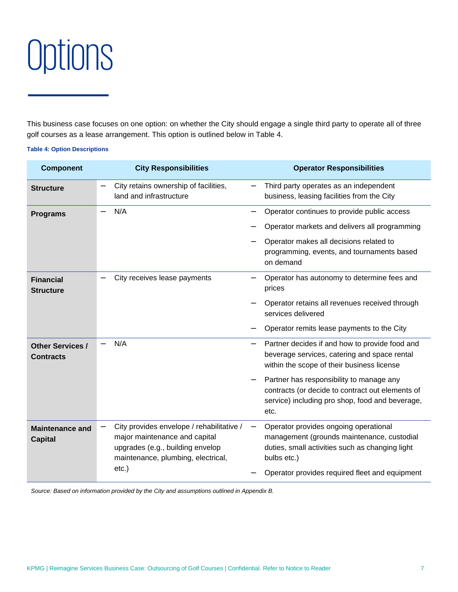<span id="page-9-0"></span>

This business case focuses on one option: on whether the City should engage a single third party to operate all of three golf courses as a lease arrangement. This option is outlined below in [Table 4.](#page-9-1)

#### <span id="page-9-1"></span>**Table 4: Option Descriptions**

| <b>Component</b>                            | <b>City Responsibilities</b>                                                                                                                         | <b>Operator Responsibilities</b>                                                                                                                        |
|---------------------------------------------|------------------------------------------------------------------------------------------------------------------------------------------------------|---------------------------------------------------------------------------------------------------------------------------------------------------------|
| <b>Structure</b>                            | City retains ownership of facilities,<br>land and infrastructure                                                                                     | Third party operates as an independent<br>business, leasing facilities from the City                                                                    |
| <b>Programs</b>                             | N/A<br>—                                                                                                                                             | Operator continues to provide public access                                                                                                             |
|                                             |                                                                                                                                                      | Operator markets and delivers all programming                                                                                                           |
|                                             |                                                                                                                                                      | Operator makes all decisions related to<br>programming, events, and tournaments based<br>on demand                                                      |
| <b>Financial</b><br><b>Structure</b>        | City receives lease payments                                                                                                                         | Operator has autonomy to determine fees and<br>prices                                                                                                   |
|                                             |                                                                                                                                                      | Operator retains all revenues received through<br>services delivered                                                                                    |
|                                             |                                                                                                                                                      | Operator remits lease payments to the City                                                                                                              |
| <b>Other Services /</b><br><b>Contracts</b> | N/A                                                                                                                                                  | Partner decides if and how to provide food and<br>beverage services, catering and space rental<br>within the scope of their business license            |
|                                             |                                                                                                                                                      | Partner has responsibility to manage any<br>contracts (or decide to contract out elements of<br>service) including pro shop, food and beverage,<br>etc. |
| <b>Maintenance and</b><br><b>Capital</b>    | City provides envelope / rehabilitative /<br>major maintenance and capital<br>upgrades (e.g., building envelop<br>maintenance, plumbing, electrical, | Operator provides ongoing operational<br>management (grounds maintenance, custodial<br>duties, small activities such as changing light<br>bulbs etc.)   |
|                                             | $etc.$ )                                                                                                                                             | Operator provides required fleet and equipment                                                                                                          |

*Source: Based on information provided by the City and assumptions outlined in Appendix B.*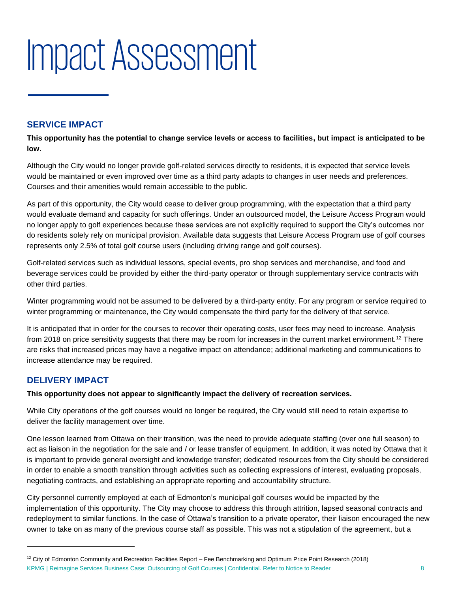# <span id="page-10-0"></span>Impact Assessment

# **SERVICE IMPACT**

**This opportunity has the potential to change service levels or access to facilities, but impact is anticipated to be low.**

Although the City would no longer provide golf-related services directly to residents, it is expected that service levels would be maintained or even improved over time as a third party adapts to changes in user needs and preferences. Courses and their amenities would remain accessible to the public.

As part of this opportunity, the City would cease to deliver group programming, with the expectation that a third party would evaluate demand and capacity for such offerings. Under an outsourced model, the Leisure Access Program would no longer apply to golf experiences because these services are not explicitly required to support the City's outcomes nor do residents solely rely on municipal provision. Available data suggests that Leisure Access Program use of golf courses represents only 2.5% of total golf course users (including driving range and golf courses).

Golf-related services such as individual lessons, special events, pro shop services and merchandise, and food and beverage services could be provided by either the third-party operator or through supplementary service contracts with other third parties.

Winter programming would not be assumed to be delivered by a third-party entity. For any program or service required to winter programming or maintenance, the City would compensate the third party for the delivery of that service.

It is anticipated that in order for the courses to recover their operating costs, user fees may need to increase. Analysis from 2018 on price sensitivity suggests that there may be room for increases in the current market environment.<sup>12</sup> There are risks that increased prices may have a negative impact on attendance; additional marketing and communications to increase attendance may be required.

# **DELIVERY IMPACT**

### **This opportunity does not appear to significantly impact the delivery of recreation services.**

While City operations of the golf courses would no longer be required, the City would still need to retain expertise to deliver the facility management over time.

One lesson learned from Ottawa on their transition, was the need to provide adequate staffing (over one full season) to act as liaison in the negotiation for the sale and / or lease transfer of equipment. In addition, it was noted by Ottawa that it is important to provide general oversight and knowledge transfer; dedicated resources from the City should be considered in order to enable a smooth transition through activities such as collecting expressions of interest, evaluating proposals, negotiating contracts, and establishing an appropriate reporting and accountability structure.

City personnel currently employed at each of Edmonton's municipal golf courses would be impacted by the implementation of this opportunity. The City may choose to address this through attrition, lapsed seasonal contracts and redeployment to similar functions. In the case of Ottawa's transition to a private operator, their liaison encouraged the new owner to take on as many of the previous course staff as possible. This was not a stipulation of the agreement, but a

KPMG | Reimagine Services Business Case: Outsourcing of Golf Courses | Confidential. Refer to Notice to Reader 8  $12$  City of Edmonton Community and Recreation Facilities Report – Fee Benchmarking and Optimum Price Point Research (2018)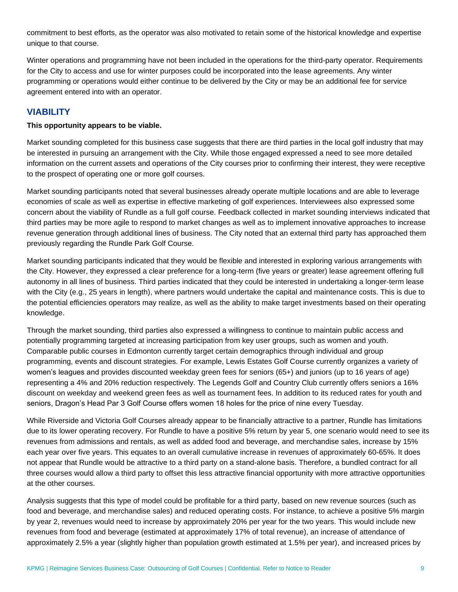commitment to best efforts, as the operator was also motivated to retain some of the historical knowledge and expertise unique to that course.

Winter operations and programming have not been included in the operations for the third-party operator. Requirements for the City to access and use for winter purposes could be incorporated into the lease agreements. Any winter programming or operations would either continue to be delivered by the City or may be an additional fee for service agreement entered into with an operator.

### **VIABILITY**

#### **This opportunity appears to be viable.**

Market sounding completed for this business case suggests that there are third parties in the local golf industry that may be interested in pursuing an arrangement with the City. While those engaged expressed a need to see more detailed information on the current assets and operations of the City courses prior to confirming their interest, they were receptive to the prospect of operating one or more golf courses.

Market sounding participants noted that several businesses already operate multiple locations and are able to leverage economies of scale as well as expertise in effective marketing of golf experiences. Interviewees also expressed some concern about the viability of Rundle as a full golf course. Feedback collected in market sounding interviews indicated that third parties may be more agile to respond to market changes as well as to implement innovative approaches to increase revenue generation through additional lines of business. The City noted that an external third party has approached them previously regarding the Rundle Park Golf Course.

Market sounding participants indicated that they would be flexible and interested in exploring various arrangements with the City. However, they expressed a clear preference for a long-term (five years or greater) lease agreement offering full autonomy in all lines of business. Third parties indicated that they could be interested in undertaking a longer-term lease with the City (e.g., 25 years in length), where partners would undertake the capital and maintenance costs. This is due to the potential efficiencies operators may realize, as well as the ability to make target investments based on their operating knowledge.

Through the market sounding, third parties also expressed a willingness to continue to maintain public access and potentially programming targeted at increasing participation from key user groups, such as women and youth. Comparable public courses in Edmonton currently target certain demographics through individual and group programming, events and discount strategies. For example, Lewis Estates Golf Course currently organizes a variety of women's leagues and provides discounted weekday green fees for seniors (65+) and juniors (up to 16 years of age) representing a 4% and 20% reduction respectively. The Legends Golf and Country Club currently offers seniors a 16% discount on weekday and weekend green fees as well as tournament fees. In addition to its reduced rates for youth and seniors, Dragon's Head Par 3 Golf Course offers women 18 holes for the price of nine every Tuesday.

While Riverside and Victoria Golf Courses already appear to be financially attractive to a partner, Rundle has limitations due to its lower operating recovery. For Rundle to have a positive 5% return by year 5, one scenario would need to see its revenues from admissions and rentals, as well as added food and beverage, and merchandise sales, increase by 15% each year over five years. This equates to an overall cumulative increase in revenues of approximately 60-65%. It does not appear that Rundle would be attractive to a third party on a stand-alone basis. Therefore, a bundled contract for all three courses would allow a third party to offset this less attractive financial opportunity with more attractive opportunities at the other courses.

Analysis suggests that this type of model could be profitable for a third party, based on new revenue sources (such as food and beverage, and merchandise sales) and reduced operating costs. For instance, to achieve a positive 5% margin by year 2, revenues would need to increase by approximately 20% per year for the two years. This would include new revenues from food and beverage (estimated at approximately 17% of total revenue), an increase of attendance of approximately 2.5% a year (slightly higher than population growth estimated at 1.5% per year), and increased prices by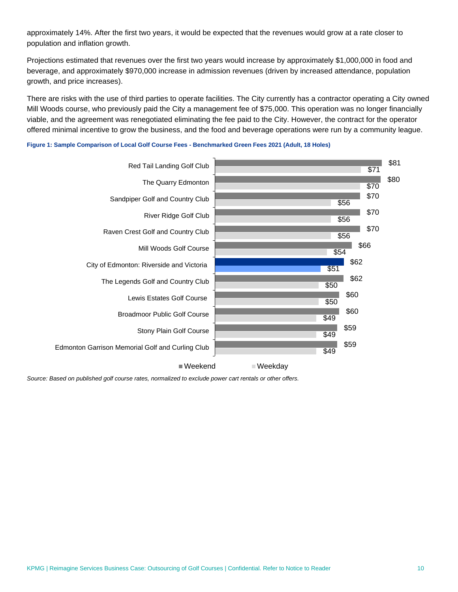approximately 14%. After the first two years, it would be expected that the revenues would grow at a rate closer to population and inflation growth.

Projections estimated that revenues over the first two years would increase by approximately \$1,000,000 in food and beverage, and approximately \$970,000 increase in admission revenues (driven by increased attendance, population growth, and price increases).

There are risks with the use of third parties to operate facilities. The City currently has a contractor operating a City owned Mill Woods course, who previously paid the City a management fee of \$75,000. This operation was no longer financially viable, and the agreement was renegotiated eliminating the fee paid to the City. However, the contract for the operator offered minimal incentive to grow the business, and the food and beverage operations were run by a community league.





*Source: Based on published golf course rates, normalized to exclude power cart rentals or other offers.*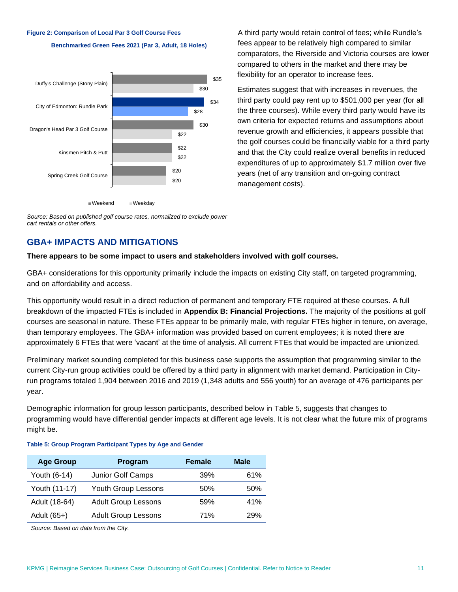#### **Figure 2: Comparison of Local Par 3 Golf Course Fees**





A third party would retain control of fees; while Rundle's fees appear to be relatively high compared to similar comparators, the Riverside and Victoria courses are lower compared to others in the market and there may be flexibility for an operator to increase fees.

Estimates suggest that with increases in revenues, the third party could pay rent up to \$501,000 per year (for all the three courses). While every third party would have its own criteria for expected returns and assumptions about revenue growth and efficiencies, it appears possible that the golf courses could be financially viable for a third party and that the City could realize overall benefits in reduced expenditures of up to approximately \$1.7 million over five years (net of any transition and on-going contract management costs).

*Source: Based on published golf course rates, normalized to exclude power cart rentals or other offers.*

## **GBA+ IMPACTS AND MITIGATIONS**

#### **There appears to be some impact to users and stakeholders involved with golf courses.**

GBA+ considerations for this opportunity primarily include the impacts on existing City staff, on targeted programming, and on affordability and access.

This opportunity would result in a direct reduction of permanent and temporary FTE required at these courses. A full breakdown of the impacted FTEs is included in **[Appendix B: Financial Projections.](#page-22-0)** The majority of the positions at golf courses are seasonal in nature. These FTEs appear to be primarily male, with regular FTEs higher in tenure, on average, than temporary employees. The GBA+ information was provided based on current employees; it is noted there are approximately 6 FTEs that were 'vacant' at the time of analysis. All current FTEs that would be impacted are unionized.

Preliminary market sounding completed for this business case supports the assumption that programming similar to the current City-run group activities could be offered by a third party in alignment with market demand. Participation in Cityrun programs totaled 1,904 between 2016 and 2019 (1,348 adults and 556 youth) for an average of 476 participants per year.

Demographic information for group lesson participants, described below in [Table 5,](#page-13-0) suggests that changes to programming would have differential gender impacts at different age levels. It is not clear what the future mix of programs might be.

| <b>Age Group</b> | Program                    | <b>Female</b> | <b>Male</b> |
|------------------|----------------------------|---------------|-------------|
| Youth (6-14)     | Junior Golf Camps          | 39%           | 61%         |
| Youth (11-17)    | Youth Group Lessons        | 50%           | 50%         |
| Adult (18-64)    | <b>Adult Group Lessons</b> | 59%           | 41%         |
| Adult (65+)      | <b>Adult Group Lessons</b> | 71%           | 29%         |

#### <span id="page-13-0"></span>**Table 5: Group Program Participant Types by Age and Gender**

*Source: Based on data from the City.*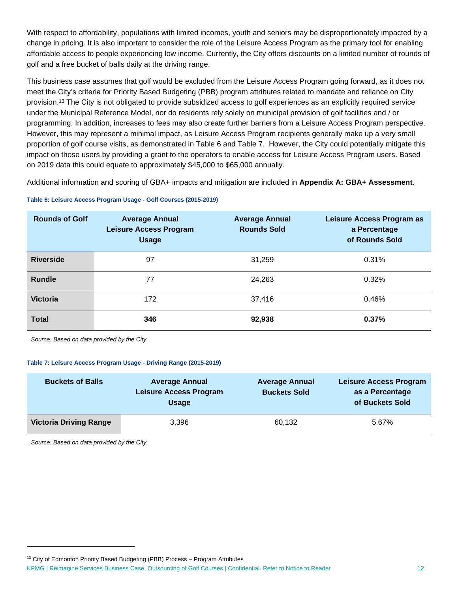With respect to affordability, populations with limited incomes, youth and seniors may be disproportionately impacted by a change in pricing. It is also important to consider the role of the Leisure Access Program as the primary tool for enabling affordable access to people experiencing low income. Currently, the City offers discounts on a limited number of rounds of golf and a free bucket of balls daily at the driving range.

This business case assumes that golf would be excluded from the Leisure Access Program going forward, as it does not meet the City's criteria for Priority Based Budgeting (PBB) program attributes related to mandate and reliance on City provision.<sup>13</sup> The City is not obligated to provide subsidized access to golf experiences as an explicitly required service under the Municipal Reference Model, nor do residents rely solely on municipal provision of golf facilities and / or programming. In addition, increases to fees may also create further barriers from a Leisure Access Program perspective. However, this may represent a minimal impact, as Leisure Access Program recipients generally make up a very small proportion of golf course visits, as demonstrated in [Table 6](#page-14-0) and [Table 7.](#page-14-1) However, the City could potentially mitigate this impact on those users by providing a grant to the operators to enable access for Leisure Access Program users. Based on 2019 data this could equate to approximately \$45,000 to \$65,000 annually.

Additional information and scoring of GBA+ impacts and mitigation are included in **[Appendix A: GBA+ Assessment](#page-19-0)**.

#### <span id="page-14-0"></span>**Table 6: Leisure Access Program Usage - Golf Courses (2015-2019)**

| <b>Rounds of Golf</b> | <b>Average Annual</b><br><b>Leisure Access Program</b><br><b>Usage</b> | <b>Average Annual</b><br><b>Rounds Sold</b> | Leisure Access Program as<br>a Percentage<br>of Rounds Sold |
|-----------------------|------------------------------------------------------------------------|---------------------------------------------|-------------------------------------------------------------|
| <b>Riverside</b>      | 97                                                                     | 31,259                                      | 0.31%                                                       |
| <b>Rundle</b>         | 77                                                                     | 24,263                                      | 0.32%                                                       |
| <b>Victoria</b>       | 172                                                                    | 37,416                                      | 0.46%                                                       |
| <b>Total</b>          | 346                                                                    | 92,938                                      | 0.37%                                                       |

*Source: Based on data provided by the City.*

#### <span id="page-14-1"></span>**Table 7: Leisure Access Program Usage - Driving Range (2015-2019)**

| <b>Buckets of Balls</b>       | <b>Average Annual</b><br><b>Leisure Access Program</b><br><b>Usage</b> | <b>Average Annual</b><br><b>Buckets Sold</b> | <b>Leisure Access Program</b><br>as a Percentage<br>of Buckets Sold |
|-------------------------------|------------------------------------------------------------------------|----------------------------------------------|---------------------------------------------------------------------|
| <b>Victoria Driving Range</b> | 3,396                                                                  | 60,132                                       | 5.67%                                                               |

*Source: Based on data provided by the City.*

 $13$  City of Edmonton Priority Based Budgeting (PBB) Process  $-$  Program Attributes

KPMG | Reimagine Services Business Case: Outsourcing of Golf Courses | Confidential. Refer to Notice to Reader 12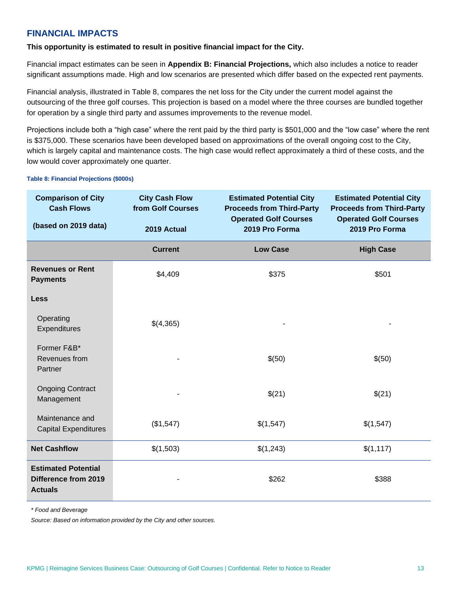# **FINANCIAL IMPACTS**

**This opportunity is estimated to result in positive financial impact for the City.** 

Financial impact estimates can be seen in **[Appendix B: Financial Projections,](#page-22-0)** which also includes a notice to reader significant assumptions made. High and low scenarios are presented which differ based on the expected rent payments.

Financial analysis, illustrated in [Table 8,](#page-15-0) compares the net loss for the City under the current model against the outsourcing of the three golf courses. This projection is based on a model where the three courses are bundled together for operation by a single third party and assumes improvements to the revenue model.

Projections include both a "high case" where the rent paid by the third party is \$501,000 and the "low case" where the rent is \$375,000. These scenarios have been developed based on approximations of the overall ongoing cost to the City, which is largely capital and maintenance costs. The high case would reflect approximately a third of these costs, and the low would cover approximately one quarter.

| <b>Comparison of City</b><br><b>Cash Flows</b>                              | <b>City Cash Flow</b><br>from Golf Courses | <b>Estimated Potential City</b><br><b>Proceeds from Third-Party</b><br><b>Operated Golf Courses</b> | <b>Estimated Potential City</b><br><b>Proceeds from Third-Party</b><br><b>Operated Golf Courses</b> |
|-----------------------------------------------------------------------------|--------------------------------------------|-----------------------------------------------------------------------------------------------------|-----------------------------------------------------------------------------------------------------|
| (based on 2019 data)                                                        | 2019 Actual                                | 2019 Pro Forma                                                                                      | 2019 Pro Forma                                                                                      |
|                                                                             | <b>Current</b>                             | <b>Low Case</b>                                                                                     | <b>High Case</b>                                                                                    |
| <b>Revenues or Rent</b><br><b>Payments</b>                                  | \$4,409                                    | \$375                                                                                               | \$501                                                                                               |
| <b>Less</b>                                                                 |                                            |                                                                                                     |                                                                                                     |
| Operating<br>Expenditures                                                   | \$(4,365)                                  |                                                                                                     |                                                                                                     |
| Former F&B*<br>Revenues from<br>Partner                                     |                                            | \$(50)                                                                                              | \$(50)                                                                                              |
| <b>Ongoing Contract</b><br>Management                                       |                                            | \$(21)                                                                                              | \$(21)                                                                                              |
| Maintenance and<br><b>Capital Expenditures</b>                              | (\$1,547)                                  | \$(1,547)                                                                                           | \$(1,547)                                                                                           |
| <b>Net Cashflow</b>                                                         | \$(1,503)                                  | \$(1,243)                                                                                           | \$(1, 117)                                                                                          |
| <b>Estimated Potential</b><br><b>Difference from 2019</b><br><b>Actuals</b> |                                            | \$262                                                                                               | \$388                                                                                               |

#### <span id="page-15-0"></span>**Table 8: Financial Projections (\$000s)**

*\* Food and Beverage*

*Source: Based on information provided by the City and other sources.*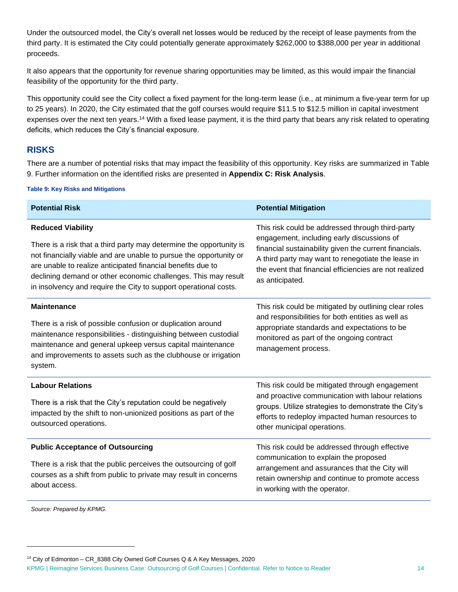Under the outsourced model, the City's overall net losses would be reduced by the receipt of lease payments from the third party. It is estimated the City could potentially generate approximately \$262,000 to \$388,000 per year in additional proceeds.

It also appears that the opportunity for revenue sharing opportunities may be limited, as this would impair the financial feasibility of the opportunity for the third party.

This opportunity could see the City collect a fixed payment for the long-term lease (i.e., at minimum a five-year term for up to 25 years). In 2020, the City estimated that the golf courses would require \$11.5 to \$12.5 million in capital investment expenses over the next ten years.<sup>14</sup> With a fixed lease payment, it is the third party that bears any risk related to operating deficits, which reduces the City's financial exposure.

# **RISKS**

There are a number of potential risks that may impact the feasibility of this opportunity. Key risks are summarized in [Table](#page-16-0)  [9.](#page-16-0) Further information on the identified risks are presented in **[Appendix C: Risk Analysis](#page-28-0)**.

#### <span id="page-16-0"></span>**Table 9: Key Risks and Mitigations**

| <b>Potential Risk</b>                                                                                                                                                                                                                                                                                                                                                      | <b>Potential Mitigation</b>                                                                                                                                                                                                                                                                 |
|----------------------------------------------------------------------------------------------------------------------------------------------------------------------------------------------------------------------------------------------------------------------------------------------------------------------------------------------------------------------------|---------------------------------------------------------------------------------------------------------------------------------------------------------------------------------------------------------------------------------------------------------------------------------------------|
| <b>Reduced Viability</b><br>There is a risk that a third party may determine the opportunity is<br>not financially viable and are unable to pursue the opportunity or<br>are unable to realize anticipated financial benefits due to<br>declining demand or other economic challenges. This may result<br>in insolvency and require the City to support operational costs. | This risk could be addressed through third-party<br>engagement, including early discussions of<br>financial sustainability given the current financials.<br>A third party may want to renegotiate the lease in<br>the event that financial efficiencies are not realized<br>as anticipated. |
| <b>Maintenance</b><br>There is a risk of possible confusion or duplication around<br>maintenance responsibilities - distinguishing between custodial<br>maintenance and general upkeep versus capital maintenance<br>and improvements to assets such as the clubhouse or irrigation<br>system.                                                                             | This risk could be mitigated by outlining clear roles<br>and responsibilities for both entities as well as<br>appropriate standards and expectations to be<br>monitored as part of the ongoing contract<br>management process.                                                              |
| <b>Labour Relations</b><br>There is a risk that the City's reputation could be negatively<br>impacted by the shift to non-unionized positions as part of the<br>outsourced operations.                                                                                                                                                                                     | This risk could be mitigated through engagement<br>and proactive communication with labour relations<br>groups. Utilize strategies to demonstrate the City's<br>efforts to redeploy impacted human resources to<br>other municipal operations.                                              |
| <b>Public Acceptance of Outsourcing</b><br>There is a risk that the public perceives the outsourcing of golf<br>courses as a shift from public to private may result in concerns<br>about access.                                                                                                                                                                          | This risk could be addressed through effective<br>communication to explain the proposed<br>arrangement and assurances that the City will<br>retain ownership and continue to promote access<br>in working with the operator.                                                                |

*Source: Prepared by KPMG.*

KPMG | Reimagine Services Business Case: Outsourcing of Golf Courses | Confidential. Refer to Notice to Reader 14 <sup>14</sup> City of Edmonton – CR\_8388 City Owned Golf Courses Q & A Key Messages, 2020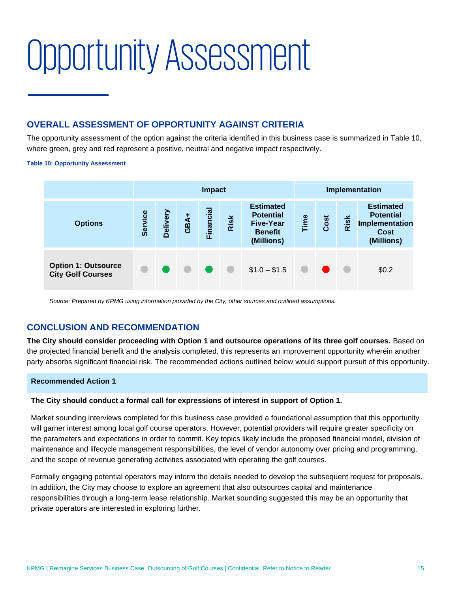# <span id="page-17-0"></span>Opportunity Assessment

# **OVERALL ASSESSMENT OF OPPORTUNITY AGAINST CRITERIA**

The opportunity assessment of the option against the criteria identified in this business case is summarized in [Table 10,](#page-17-1)  where green, grey and red represent a positive, neutral and negative impact respectively.

#### <span id="page-17-1"></span>**Table 10: Opportunity Assessment**

|                                                        |         | <b>Impact</b>   |      |          |               |                                                                                          | Implementation |      |      |                                                                              |
|--------------------------------------------------------|---------|-----------------|------|----------|---------------|------------------------------------------------------------------------------------------|----------------|------|------|------------------------------------------------------------------------------|
| <b>Options</b>                                         | Service | <b>Delivery</b> | GBA+ | Financia | Risk          | <b>Estimated</b><br><b>Potential</b><br><b>Five-Year</b><br><b>Benefit</b><br>(Millions) | Time           | Cost | Risk | <b>Estimated</b><br><b>Potential</b><br>Implementation<br>Cost<br>(Millions) |
| <b>Option 1: Outsource</b><br><b>City Golf Courses</b> |         |                 |      |          | $\sim$ $\sim$ | $$1.0 - $1.5$                                                                            |                |      |      | \$0.2                                                                        |

*Source: Prepared by KPMG using information provided by the City, other sources and outlined assumptions.*

# **CONCLUSION AND RECOMMENDATION**

**The City should consider proceeding with Option 1 and outsource operations of its three golf courses.** Based on the projected financial benefit and the analysis completed, this represents an improvement opportunity wherein another party absorbs significant financial risk. The recommended actions outlined below would support pursuit of this opportunity.

#### **Recommended Action 1**

#### **The City should conduct a formal call for expressions of interest in support of Option 1.**

Market sounding interviews completed for this business case provided a foundational assumption that this opportunity will garner interest among local golf course operators. However, potential providers will require greater specificity on the parameters and expectations in order to commit. Key topics likely include the proposed financial model, division of maintenance and lifecycle management responsibilities, the level of vendor autonomy over pricing and programming, and the scope of revenue generating activities associated with operating the golf courses.

Formally engaging potential operators may inform the details needed to develop the subsequent request for proposals. In addition, the City may choose to explore an agreement that also outsources capital and maintenance responsibilities through a long-term lease relationship. Market sounding suggested this may be an opportunity that private operators are interested in exploring further.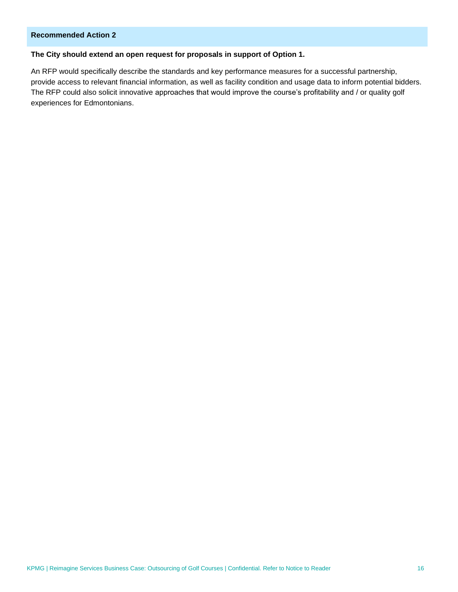### **Recommended Action 2**

### **The City should extend an open request for proposals in support of Option 1.**

An RFP would specifically describe the standards and key performance measures for a successful partnership, provide access to relevant financial information, as well as facility condition and usage data to inform potential bidders. The RFP could also solicit innovative approaches that would improve the course's profitability and / or quality golf experiences for Edmontonians.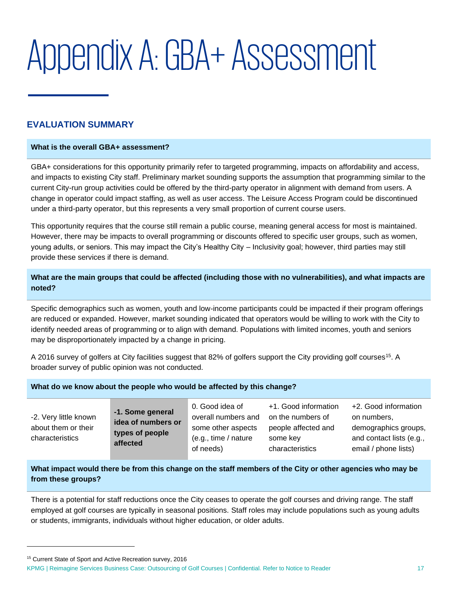# <span id="page-19-0"></span>Appendix A: GBA+ Assessment

# **EVALUATION SUMMARY**

#### **What is the overall GBA+ assessment?**

GBA+ considerations for this opportunity primarily refer to targeted programming, impacts on affordability and access, and impacts to existing City staff. Preliminary market sounding supports the assumption that programming similar to the current City-run group activities could be offered by the third-party operator in alignment with demand from users. A change in operator could impact staffing, as well as user access. The Leisure Access Program could be discontinued under a third-party operator, but this represents a very small proportion of current course users.

This opportunity requires that the course still remain a public course, meaning general access for most is maintained. However, there may be impacts to overall programming or discounts offered to specific user groups, such as women, young adults, or seniors. This may impact the City's Healthy City – Inclusivity goal; however, third parties may still provide these services if there is demand.

### **What are the main groups that could be affected (including those with no vulnerabilities), and what impacts are noted?**

Specific demographics such as women, youth and low-income participants could be impacted if their program offerings are reduced or expanded. However, market sounding indicated that operators would be willing to work with the City to identify needed areas of programming or to align with demand. Populations with limited incomes, youth and seniors may be disproportionately impacted by a change in pricing.

A 2016 survey of golfers at City facilities suggest that 82% of golfers support the City providing golf courses<sup>15</sup>. A broader survey of public opinion was not conducted.

#### **What do we know about the people who would be affected by this change?**

| -2. Very little known<br>about them or their<br>characteristics | -1. Some general<br>idea of numbers or<br>types of people<br>affected | 0. Good idea of<br>overall numbers and<br>some other aspects<br>(e.g., time / nature)<br>of needs) | +1. Good information<br>on the numbers of<br>people affected and<br>some key<br>characteristics | +2. Good information<br>on numbers,<br>demographics groups,<br>and contact lists (e.g.,<br>email / phone lists) |
|-----------------------------------------------------------------|-----------------------------------------------------------------------|----------------------------------------------------------------------------------------------------|-------------------------------------------------------------------------------------------------|-----------------------------------------------------------------------------------------------------------------|
|-----------------------------------------------------------------|-----------------------------------------------------------------------|----------------------------------------------------------------------------------------------------|-------------------------------------------------------------------------------------------------|-----------------------------------------------------------------------------------------------------------------|

### **What impact would there be from this change on the staff members of the City or other agencies who may be from these groups?**

There is a potential for staff reductions once the City ceases to operate the golf courses and driving range. The staff employed at golf courses are typically in seasonal positions. Staff roles may include populations such as young adults or students, immigrants, individuals without higher education, or older adults.

<sup>15</sup> Current State of Sport and Active Recreation survey, 2016

KPMG | Reimagine Services Business Case: Outsourcing of Golf Courses | Confidential. Refer to Notice to Reader 17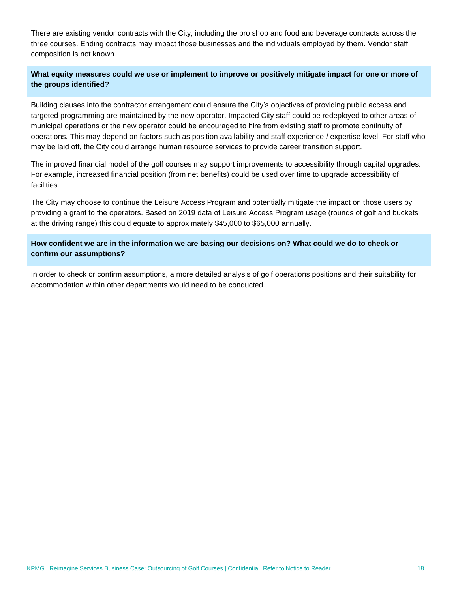There are existing vendor contracts with the City, including the pro shop and food and beverage contracts across the three courses. Ending contracts may impact those businesses and the individuals employed by them. Vendor staff composition is not known.

### **What equity measures could we use or implement to improve or positively mitigate impact for one or more of the groups identified?**

Building clauses into the contractor arrangement could ensure the City's objectives of providing public access and targeted programming are maintained by the new operator. Impacted City staff could be redeployed to other areas of municipal operations or the new operator could be encouraged to hire from existing staff to promote continuity of operations. This may depend on factors such as position availability and staff experience / expertise level. For staff who may be laid off, the City could arrange human resource services to provide career transition support.

The improved financial model of the golf courses may support improvements to accessibility through capital upgrades. For example, increased financial position (from net benefits) could be used over time to upgrade accessibility of facilities.

The City may choose to continue the Leisure Access Program and potentially mitigate the impact on those users by providing a grant to the operators. Based on 2019 data of Leisure Access Program usage (rounds of golf and buckets at the driving range) this could equate to approximately \$45,000 to \$65,000 annually.

### **How confident we are in the information we are basing our decisions on? What could we do to check or confirm our assumptions?**

In order to check or confirm assumptions, a more detailed analysis of golf operations positions and their suitability for accommodation within other departments would need to be conducted.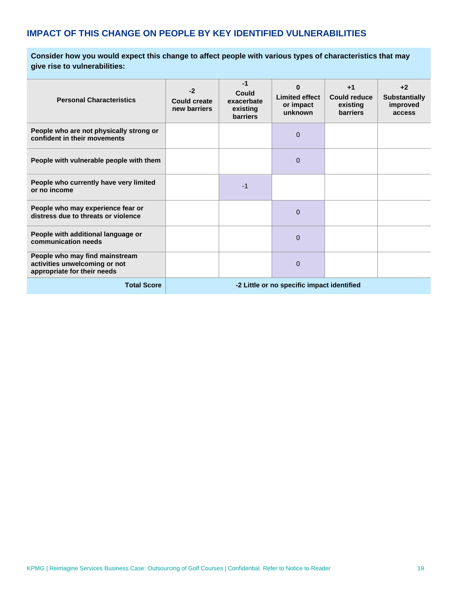# **IMPACT OF THIS CHANGE ON PEOPLE BY KEY IDENTIFIED VULNERABILITIES**

**Consider how you would expect this change to affect people with various types of characteristics that may give rise to vulnerabilities:** 

| <b>Personal Characteristics</b>                                                                | $-2$<br><b>Could create</b><br>new barriers | -1<br>Could<br>exacerbate<br>existing<br><b>barriers</b> | O<br><b>Limited effect</b><br>or impact<br>unknown | $+1$<br><b>Could reduce</b><br>existing<br><b>barriers</b> | $+2$<br><b>Substantially</b><br>improved<br>access |
|------------------------------------------------------------------------------------------------|---------------------------------------------|----------------------------------------------------------|----------------------------------------------------|------------------------------------------------------------|----------------------------------------------------|
| People who are not physically strong or<br>confident in their movements                        |                                             |                                                          | $\mathbf 0$                                        |                                                            |                                                    |
| People with vulnerable people with them                                                        |                                             |                                                          | $\mathbf 0$                                        |                                                            |                                                    |
| People who currently have very limited<br>or no income                                         |                                             | -1                                                       |                                                    |                                                            |                                                    |
| People who may experience fear or<br>distress due to threats or violence                       |                                             |                                                          | 0                                                  |                                                            |                                                    |
| People with additional language or<br>communication needs                                      |                                             |                                                          | 0                                                  |                                                            |                                                    |
| People who may find mainstream<br>activities unwelcoming or not<br>appropriate for their needs |                                             |                                                          | 0                                                  |                                                            |                                                    |
| <b>Total Score</b>                                                                             | -2 Little or no specific impact identified  |                                                          |                                                    |                                                            |                                                    |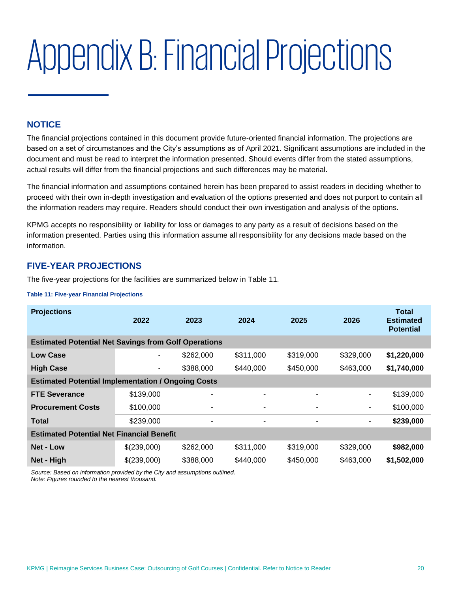# <span id="page-22-0"></span>Appendix B: Financial Projections

# **NOTICE**

The financial projections contained in this document provide future-oriented financial information. The projections are based on a set of circumstances and the City's assumptions as of April 2021. Significant assumptions are included in the document and must be read to interpret the information presented. Should events differ from the stated assumptions, actual results will differ from the financial projections and such differences may be material.

The financial information and assumptions contained herein has been prepared to assist readers in deciding whether to proceed with their own in-depth investigation and evaluation of the options presented and does not purport to contain all the information readers may require. Readers should conduct their own investigation and analysis of the options.

KPMG accepts no responsibility or liability for loss or damages to any party as a result of decisions based on the information presented. Parties using this information assume all responsibility for any decisions made based on the information.

## **FIVE-YEAR PROJECTIONS**

The five-year projections for the facilities are summarized below in [Table 11.](#page-22-1)

#### <span id="page-22-1"></span>**Table 11: Five-year Financial Projections**

| <b>Projections</b>                                          | 2022           | 2023           | 2024      | 2025      | 2026      | Total<br><b>Estimated</b><br><b>Potential</b> |  |
|-------------------------------------------------------------|----------------|----------------|-----------|-----------|-----------|-----------------------------------------------|--|
| <b>Estimated Potential Net Savings from Golf Operations</b> |                |                |           |           |           |                                               |  |
| <b>Low Case</b>                                             | $\blacksquare$ | \$262,000      | \$311,000 | \$319,000 | \$329,000 | \$1,220,000                                   |  |
| <b>High Case</b>                                            | ۰.             | \$388,000      | \$440,000 | \$450,000 | \$463,000 | \$1,740,000                                   |  |
| <b>Estimated Potential Implementation / Ongoing Costs</b>   |                |                |           |           |           |                                               |  |
| <b>FTE Severance</b>                                        | \$139,000      | ۰              | -         | ۰         | ۰         | \$139,000                                     |  |
| <b>Procurement Costs</b>                                    | \$100,000      |                |           |           | ۰         | \$100,000                                     |  |
| <b>Total</b>                                                | \$239,000      | $\blacksquare$ | ۰         | ۰         | -         | \$239,000                                     |  |
| <b>Estimated Potential Net Financial Benefit</b>            |                |                |           |           |           |                                               |  |
| <b>Net - Low</b>                                            | \$(239,000)    | \$262,000      | \$311,000 | \$319,000 | \$329,000 | \$982,000                                     |  |
| Net - High                                                  | \$(239,000)    | \$388,000      | \$440,000 | \$450,000 | \$463,000 | \$1,502,000                                   |  |

*Source: Based on information provided by the City and assumptions outlined. Note: Figures rounded to the nearest thousand.*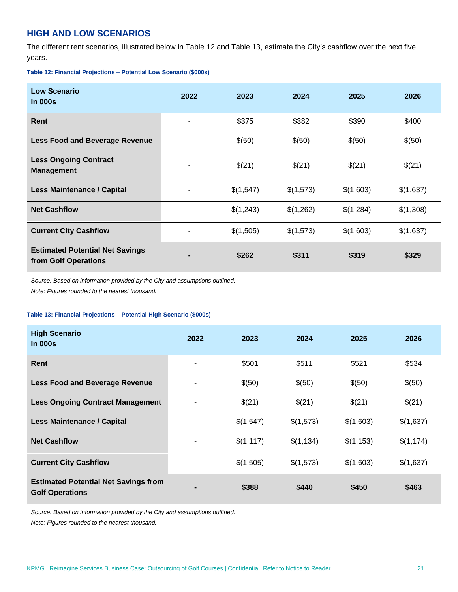# **HIGH AND LOW SCENARIOS**

The different rent scenarios, illustrated below in [Table 12](#page-23-0) and [Table 13,](#page-23-1) estimate the City's cashflow over the next five years.

#### <span id="page-23-0"></span>**Table 12: Financial Projections – Potential Low Scenario (\$000s)**

| <b>Low Scenario</b><br><b>In 000s</b>                          | 2022 | 2023      | 2024      | 2025      | 2026      |
|----------------------------------------------------------------|------|-----------|-----------|-----------|-----------|
| Rent                                                           |      | \$375     | \$382     | \$390     | \$400     |
| <b>Less Food and Beverage Revenue</b>                          |      | \$(50)    | \$(50)    | \$(50)    | \$(50)    |
| <b>Less Ongoing Contract</b><br><b>Management</b>              |      | \$(21)    | \$(21)    | \$(21)    | \$(21)    |
| <b>Less Maintenance / Capital</b>                              |      | \$(1,547) | \$(1,573) | \$(1,603) | \$(1,637) |
| <b>Net Cashflow</b>                                            |      | \$(1,243) | \$(1,262) | \$(1,284) | \$(1,308) |
| <b>Current City Cashflow</b>                                   |      | \$(1,505) | \$(1,573) | \$(1,603) | \$(1,637) |
| <b>Estimated Potential Net Savings</b><br>from Golf Operations |      | \$262     | \$311     | \$319     | \$329     |

*Source: Based on information provided by the City and assumptions outlined.* 

*Note: Figures rounded to the nearest thousand.* 

#### <span id="page-23-1"></span>**Table 13: Financial Projections – Potential High Scenario (\$000s)**

| <b>High Scenario</b><br>In $000s$                                     | 2022           | 2023      | 2024      | 2025      | 2026      |
|-----------------------------------------------------------------------|----------------|-----------|-----------|-----------|-----------|
| Rent                                                                  |                | \$501     | \$511     | \$521     | \$534     |
| <b>Less Food and Beverage Revenue</b>                                 |                | \$(50)    | \$(50)    | \$(50)    | \$(50)    |
| <b>Less Ongoing Contract Management</b>                               |                | \$(21)    | \$(21)    | \$(21)    | \$(21)    |
| <b>Less Maintenance / Capital</b>                                     | -              | \$(1,547) | \$(1,573) | \$(1,603) | \$(1,637) |
| <b>Net Cashflow</b>                                                   |                | \$(1,117) | \$(1,134) | \$(1,153) | \$(1,174) |
| <b>Current City Cashflow</b>                                          |                | \$(1,505) | \$(1,573) | \$(1,603) | \$(1,637) |
| <b>Estimated Potential Net Savings from</b><br><b>Golf Operations</b> | $\blacksquare$ | \$388     | \$440     | \$450     | \$463     |

*Source: Based on information provided by the City and assumptions outlined.* 

*Note: Figures rounded to the nearest thousand.*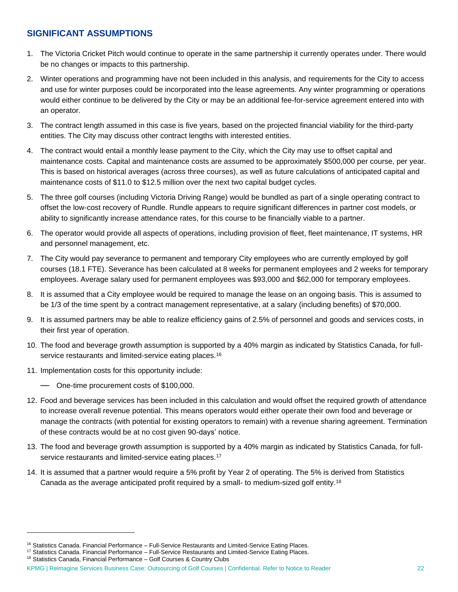# **SIGNIFICANT ASSUMPTIONS**

- 1. The Victoria Cricket Pitch would continue to operate in the same partnership it currently operates under. There would be no changes or impacts to this partnership.
- 2. Winter operations and programming have not been included in this analysis, and requirements for the City to access and use for winter purposes could be incorporated into the lease agreements. Any winter programming or operations would either continue to be delivered by the City or may be an additional fee-for-service agreement entered into with an operator.
- 3. The contract length assumed in this case is five years, based on the projected financial viability for the third-party entities. The City may discuss other contract lengths with interested entities.
- 4. The contract would entail a monthly lease payment to the City, which the City may use to offset capital and maintenance costs. Capital and maintenance costs are assumed to be approximately \$500,000 per course, per year. This is based on historical averages (across three courses), as well as future calculations of anticipated capital and maintenance costs of \$11.0 to \$12.5 million over the next two capital budget cycles.
- 5. The three golf courses (including Victoria Driving Range) would be bundled as part of a single operating contract to offset the low-cost recovery of Rundle. Rundle appears to require significant differences in partner cost models, or ability to significantly increase attendance rates, for this course to be financially viable to a partner.
- 6. The operator would provide all aspects of operations, including provision of fleet, fleet maintenance, IT systems, HR and personnel management, etc.
- 7. The City would pay severance to permanent and temporary City employees who are currently employed by golf courses (18.1 FTE). Severance has been calculated at 8 weeks for permanent employees and 2 weeks for temporary employees. Average salary used for permanent employees was \$93,000 and \$62,000 for temporary employees.
- 8. It is assumed that a City employee would be required to manage the lease on an ongoing basis. This is assumed to be 1/3 of the time spent by a contract management representative, at a salary (including benefits) of \$70,000.
- 9. It is assumed partners may be able to realize efficiency gains of 2.5% of personnel and goods and services costs, in their first year of operation.
- 10. The food and beverage growth assumption is supported by a 40% margin as indicated by Statistics Canada, for fullservice restaurants and limited-service eating places.<sup>16</sup>
- 11. Implementation costs for this opportunity include:
	- One-time procurement costs of \$100,000.
- 12. Food and beverage services has been included in this calculation and would offset the required growth of attendance to increase overall revenue potential. This means operators would either operate their own food and beverage or manage the contracts (with potential for existing operators to remain) with a revenue sharing agreement. Termination of these contracts would be at no cost given 90-days' notice.
- 13. The food and beverage growth assumption is supported by a 40% margin as indicated by Statistics Canada, for fullservice restaurants and limited-service eating places.<sup>17</sup>
- 14. It is assumed that a partner would require a 5% profit by Year 2 of operating. The 5% is derived from Statistics Canada as the average anticipated profit required by a small- to medium-sized golf entity.<sup>18</sup>

 $16$  Statistics Canada. Financial Performance – Full-Service Restaurants and Limited-Service Eating Places.

<sup>17</sup> Statistics Canada. Financial Performance - Full-Service Restaurants and Limited-Service Eating Places.

<sup>&</sup>lt;sup>18</sup> Statistics Canada, Financial Performance - Golf Courses & Country Clubs

KPMG | Reimagine Services Business Case: Outsourcing of Golf Courses | Confidential. Refer to Notice to Reader 22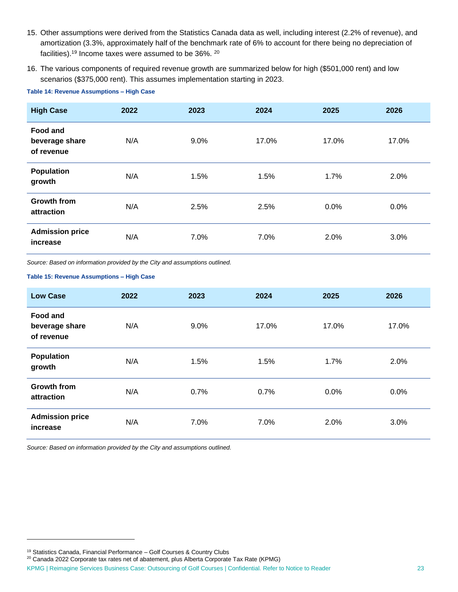- 15. Other assumptions were derived from the Statistics Canada data as well, including interest (2.2% of revenue), and amortization (3.3%, approximately half of the benchmark rate of 6% to account for there being no depreciation of facilities).<sup>19</sup> Income taxes were assumed to be 36%. <sup>20</sup>
- 16. The various components of required revenue growth are summarized below for high (\$501,000 rent) and low scenarios (\$375,000 rent). This assumes implementation starting in 2023.

| <b>High Case</b>                                | 2022 | 2023    | 2024  | 2025  | 2026  |
|-------------------------------------------------|------|---------|-------|-------|-------|
| <b>Food and</b><br>beverage share<br>of revenue | N/A  | $9.0\%$ | 17.0% | 17.0% | 17.0% |
| <b>Population</b><br>growth                     | N/A  | 1.5%    | 1.5%  | 1.7%  | 2.0%  |
| <b>Growth from</b><br>attraction                | N/A  | 2.5%    | 2.5%  | 0.0%  | 0.0%  |
| <b>Admission price</b><br>increase              | N/A  | 7.0%    | 7.0%  | 2.0%  | 3.0%  |

**Table 14: Revenue Assumptions – High Case**

*Source: Based on information provided by the City and assumptions outlined.* 

#### **Table 15: Revenue Assumptions – High Case**

| <b>Low Case</b>                                 | 2022 | 2023    | 2024  | 2025    | 2026  |
|-------------------------------------------------|------|---------|-------|---------|-------|
| <b>Food and</b><br>beverage share<br>of revenue | N/A  | $9.0\%$ | 17.0% | 17.0%   | 17.0% |
| <b>Population</b><br>growth                     | N/A  | 1.5%    | 1.5%  | 1.7%    | 2.0%  |
| <b>Growth from</b><br>attraction                | N/A  | 0.7%    | 0.7%  | $0.0\%$ | 0.0%  |
| <b>Admission price</b><br>increase              | N/A  | 7.0%    | 7.0%  | 2.0%    | 3.0%  |

*Source: Based on information provided by the City and assumptions outlined.*

<sup>19</sup> Statistics Canada, Financial Performance – Golf Courses & Country Clubs

<sup>&</sup>lt;sup>20</sup> Canada 2022 Corporate tax rates net of abatement, plus Alberta Corporate Tax Rate (KPMG)

KPMG | Reimagine Services Business Case: Outsourcing of Golf Courses | Confidential. Refer to Notice to Reader 23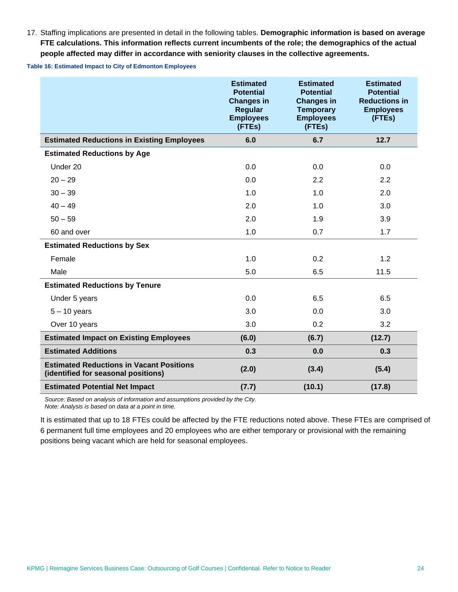17. Staffing implications are presented in detail in the following tables. **Demographic information is based on average FTE calculations. This information reflects current incumbents of the role; the demographics of the actual people affected may differ in accordance with seniority clauses in the collective agreements.**

**Table 16: Estimated Impact to City of Edmonton Employees**

|                                                                                        | <b>Estimated</b><br><b>Potential</b><br><b>Changes in</b><br><b>Regular</b><br><b>Employees</b><br>(FTEs) | <b>Estimated</b><br><b>Potential</b><br><b>Changes in</b><br><b>Temporary</b><br><b>Employees</b><br>(FTEs) | <b>Estimated</b><br><b>Potential</b><br><b>Reductions in</b><br><b>Employees</b><br>(FTEs) |
|----------------------------------------------------------------------------------------|-----------------------------------------------------------------------------------------------------------|-------------------------------------------------------------------------------------------------------------|--------------------------------------------------------------------------------------------|
| <b>Estimated Reductions in Existing Employees</b>                                      | 6.0                                                                                                       | 6.7                                                                                                         | 12.7                                                                                       |
| <b>Estimated Reductions by Age</b>                                                     |                                                                                                           |                                                                                                             |                                                                                            |
| Under 20                                                                               | 0.0                                                                                                       | 0.0                                                                                                         | 0.0                                                                                        |
| $20 - 29$                                                                              | 0.0                                                                                                       | 2.2                                                                                                         | 2.2                                                                                        |
| $30 - 39$                                                                              | 1.0                                                                                                       | 1.0                                                                                                         | 2.0                                                                                        |
| $40 - 49$                                                                              | 2.0                                                                                                       | 1.0                                                                                                         | 3.0                                                                                        |
| $50 - 59$                                                                              | 2.0                                                                                                       | 1.9                                                                                                         | 3.9                                                                                        |
| 60 and over                                                                            | 1.0                                                                                                       | 0.7                                                                                                         | 1.7                                                                                        |
| <b>Estimated Reductions by Sex</b>                                                     |                                                                                                           |                                                                                                             |                                                                                            |
| Female                                                                                 | 1.0                                                                                                       | 0.2                                                                                                         | 1.2                                                                                        |
| Male                                                                                   | 5.0                                                                                                       | 6.5                                                                                                         | 11.5                                                                                       |
| <b>Estimated Reductions by Tenure</b>                                                  |                                                                                                           |                                                                                                             |                                                                                            |
| Under 5 years                                                                          | 0.0                                                                                                       | 6.5                                                                                                         | 6.5                                                                                        |
| $5 - 10$ years                                                                         | 3.0                                                                                                       | 0.0                                                                                                         | 3.0                                                                                        |
| Over 10 years                                                                          | 3.0                                                                                                       | 0.2                                                                                                         | 3.2                                                                                        |
| <b>Estimated Impact on Existing Employees</b>                                          | (6.0)                                                                                                     | (6.7)                                                                                                       | (12.7)                                                                                     |
| <b>Estimated Additions</b>                                                             | 0.3                                                                                                       | 0.0                                                                                                         | 0.3                                                                                        |
| <b>Estimated Reductions in Vacant Positions</b><br>(identified for seasonal positions) | (2.0)                                                                                                     | (3.4)                                                                                                       | (5.4)                                                                                      |
| <b>Estimated Potential Net Impact</b>                                                  | (7.7)                                                                                                     | (10.1)                                                                                                      | (17.8)                                                                                     |

*Source: Based on analysis of information and assumptions provided by the City. Note: Analysis is based on data at a point in time.*

It is estimated that up to 18 FTEs could be affected by the FTE reductions noted above. These FTEs are comprised of 6 permanent full time employees and 20 employees who are either temporary or provisional with the remaining positions being vacant which are held for seasonal employees.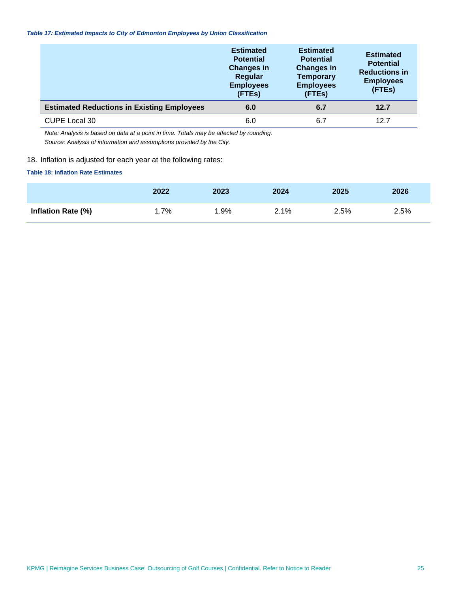#### *Table 17: Estimated Impacts to City of Edmonton Employees by Union Classification*

|                                                   | <b>Estimated</b><br><b>Potential</b><br><b>Changes in</b><br>Regular<br><b>Employees</b><br>(FTEs) | <b>Estimated</b><br><b>Potential</b><br><b>Changes in</b><br><b>Temporary</b><br><b>Employees</b><br>(FTEs) | <b>Estimated</b><br><b>Potential</b><br><b>Reductions in</b><br><b>Employees</b><br>(FTEs) |
|---------------------------------------------------|----------------------------------------------------------------------------------------------------|-------------------------------------------------------------------------------------------------------------|--------------------------------------------------------------------------------------------|
| <b>Estimated Reductions in Existing Employees</b> | 6.0                                                                                                | 6.7                                                                                                         | 12.7                                                                                       |
| <b>CUPE Local 30</b>                              | 6.0                                                                                                | 6.7                                                                                                         | 12.7                                                                                       |

*Note: Analysis is based on data at a point in time. Totals may be affected by rounding. Source: Analysis of information and assumptions provided by the City.*

#### 18. Inflation is adjusted for each year at the following rates:

#### **Table 18: Inflation Rate Estimates**

|                    | 2022 | 2023   | 2024 | 2025 | 2026 |
|--------------------|------|--------|------|------|------|
| Inflation Rate (%) | .7%، | $.9\%$ | 2.1% | 2.5% | 2.5% |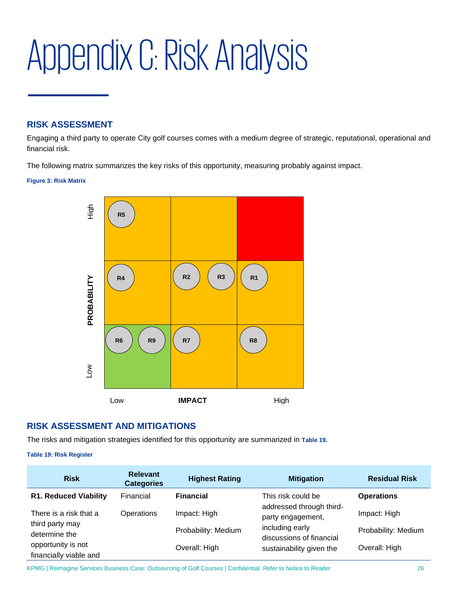# <span id="page-28-0"></span>Appendix C: Risk Analysis

# **RISK ASSESSMENT**

Engaging a third party to operate City golf courses comes with a medium degree of strategic, reputational, operational and financial risk.

The following matrix summarizes the key risks of this opportunity, measuring probably against impact.

#### **Figure 3: Risk Matrix**



# **RISK ASSESSMENT AND MITIGATIONS**

The risks and mitigation strategies identified for this opportunity are summarized in **[Table 19](#page-28-1)**.

#### <span id="page-28-1"></span>**Table 19: Risk Register**

| <b>Risk</b>                                  | <b>Relevant</b><br><b>Categories</b> | <b>Highest Rating</b>    | <b>Mitigation</b>                             | <b>Residual Risk</b> |
|----------------------------------------------|--------------------------------------|--------------------------|-----------------------------------------------|----------------------|
| <b>R1. Reduced Viability</b>                 | Financial                            | <b>Financial</b>         | This risk could be                            | <b>Operations</b>    |
| There is a risk that a                       | Operations                           | Impact: High             | addressed through third-<br>party engagement, | Impact: High         |
| third party may<br>determine the             |                                      | Probability: Medium      | including early<br>discussions of financial   | Probability: Medium  |
| opportunity is not<br>financially viable and | Overall: High                        | sustainability given the | Overall: High                                 |                      |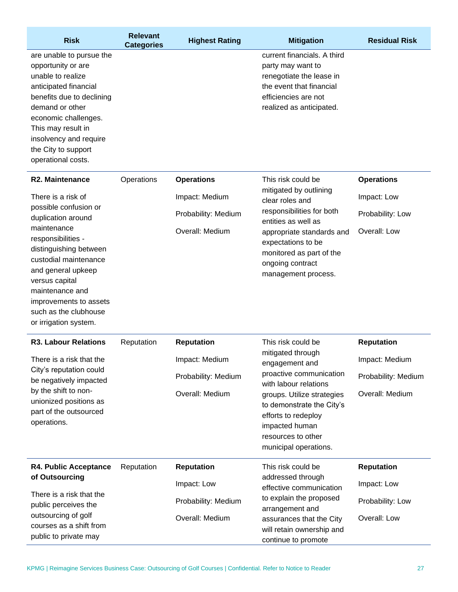| <b>Risk</b>               | <b>Relevant</b><br><b>Categories</b> | <b>Highest Rating</b> | <b>Mitigation</b>           | <b>Residual Risk</b> |
|---------------------------|--------------------------------------|-----------------------|-----------------------------|----------------------|
| are unable to pursue the  |                                      |                       | current financials. A third |                      |
| opportunity or are        |                                      |                       | party may want to           |                      |
| unable to realize         |                                      |                       | renegotiate the lease in    |                      |
| anticipated financial     |                                      |                       | the event that financial    |                      |
| benefits due to declining |                                      |                       | efficiencies are not        |                      |
| demand or other           |                                      |                       | realized as anticipated.    |                      |
| economic challenges.      |                                      |                       |                             |                      |
| This may result in        |                                      |                       |                             |                      |
| insolvency and require    |                                      |                       |                             |                      |
| the City to support       |                                      |                       |                             |                      |
| operational costs.        |                                      |                       |                             |                      |

| <b>R2. Maintenance</b>                                                                                                                                                                            | Operations | <b>Operations</b>                                        | This risk could be                                                                                                                                                                                                      | <b>Operations</b>                               |
|---------------------------------------------------------------------------------------------------------------------------------------------------------------------------------------------------|------------|----------------------------------------------------------|-------------------------------------------------------------------------------------------------------------------------------------------------------------------------------------------------------------------------|-------------------------------------------------|
| There is a risk of<br>possible confusion or<br>duplication around<br>maintenance<br>responsibilities -<br>distinguishing between<br>custodial maintenance<br>and general upkeep<br>versus capital |            | Impact: Medium<br>Probability: Medium<br>Overall: Medium | mitigated by outlining<br>clear roles and<br>responsibilities for both<br>entities as well as<br>appropriate standards and<br>expectations to be<br>monitored as part of the<br>ongoing contract<br>management process. | Impact: Low<br>Probability: Low<br>Overall: Low |
| maintenance and<br>improvements to assets<br>such as the clubhouse<br>or irrigation system.                                                                                                       |            |                                                          |                                                                                                                                                                                                                         |                                                 |

| <b>R3. Labour Relations</b>                                                                                                                                              | Reputation | <b>Reputation</b>   | This risk could be<br>mitigated through<br>engagement and<br>proactive communication<br>with labour relations<br>groups. Utilize strategies<br>to demonstrate the City's<br>efforts to redeploy<br>impacted human<br>resources to other<br>municipal operations. | <b>Reputation</b>   |
|--------------------------------------------------------------------------------------------------------------------------------------------------------------------------|------------|---------------------|------------------------------------------------------------------------------------------------------------------------------------------------------------------------------------------------------------------------------------------------------------------|---------------------|
| There is a risk that the<br>City's reputation could<br>be negatively impacted<br>by the shift to non-<br>unionized positions as<br>part of the outsourced<br>operations. |            | Impact: Medium      |                                                                                                                                                                                                                                                                  | Impact: Medium      |
|                                                                                                                                                                          |            | Probability: Medium |                                                                                                                                                                                                                                                                  | Probability: Medium |
|                                                                                                                                                                          |            | Overall: Medium     |                                                                                                                                                                                                                                                                  | Overall: Medium     |
| R4. Public Acceptance<br>of Outsourcing<br>There is a risk that the<br>public perceives the<br>outsourcing of golf<br>courses as a shift from<br>public to private may   | Reputation | <b>Reputation</b>   | This risk could be                                                                                                                                                                                                                                               | <b>Reputation</b>   |
|                                                                                                                                                                          |            | Impact: Low         | addressed through<br>effective communication                                                                                                                                                                                                                     | Impact: Low         |
|                                                                                                                                                                          |            | Probability: Medium | to explain the proposed<br>arrangement and                                                                                                                                                                                                                       | Probability: Low    |
|                                                                                                                                                                          |            | Overall: Medium     | assurances that the City<br>will retain ownership and<br>continue to promote                                                                                                                                                                                     | Overall: Low        |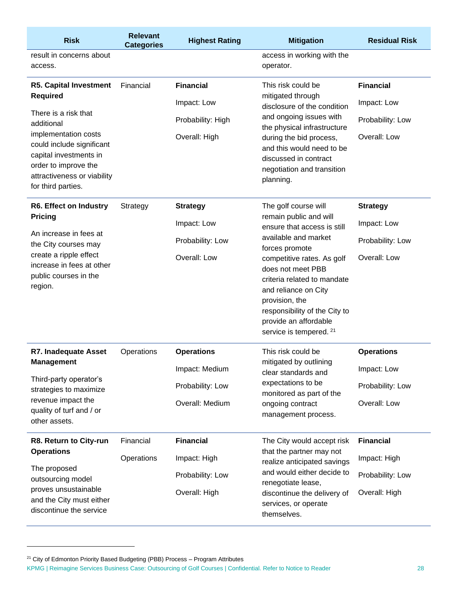| <b>Risk</b>                                                                                                                                                                                                                                        | <b>Relevant</b><br><b>Categories</b> | <b>Highest Rating</b> | <b>Mitigation</b>                                                                                                                                                                                                                                                                                                                        | <b>Residual Risk</b> |
|----------------------------------------------------------------------------------------------------------------------------------------------------------------------------------------------------------------------------------------------------|--------------------------------------|-----------------------|------------------------------------------------------------------------------------------------------------------------------------------------------------------------------------------------------------------------------------------------------------------------------------------------------------------------------------------|----------------------|
| result in concerns about<br>access.                                                                                                                                                                                                                |                                      |                       | access in working with the<br>operator.                                                                                                                                                                                                                                                                                                  |                      |
| <b>R5. Capital Investment</b><br><b>Required</b><br>There is a risk that<br>additional<br>implementation costs<br>could include significant<br>capital investments in<br>order to improve the<br>attractiveness or viability<br>for third parties. | Financial                            | <b>Financial</b>      | This risk could be<br>mitigated through<br>disclosure of the condition<br>and ongoing issues with<br>the physical infrastructure<br>during the bid process,<br>and this would need to be<br>discussed in contract<br>negotiation and transition<br>planning.                                                                             | <b>Financial</b>     |
|                                                                                                                                                                                                                                                    |                                      | Impact: Low           |                                                                                                                                                                                                                                                                                                                                          | Impact: Low          |
|                                                                                                                                                                                                                                                    |                                      | Probability: High     |                                                                                                                                                                                                                                                                                                                                          | Probability: Low     |
|                                                                                                                                                                                                                                                    |                                      | Overall: High         |                                                                                                                                                                                                                                                                                                                                          | Overall: Low         |
| <b>R6. Effect on Industry</b>                                                                                                                                                                                                                      | Strategy                             | <b>Strategy</b>       | The golf course will<br>remain public and will<br>ensure that access is still<br>available and market<br>forces promote<br>competitive rates. As golf<br>does not meet PBB<br>criteria related to mandate<br>and reliance on City<br>provision, the<br>responsibility of the City to<br>provide an affordable<br>service is tempered. 21 | <b>Strategy</b>      |
| <b>Pricing</b>                                                                                                                                                                                                                                     |                                      | Impact: Low           |                                                                                                                                                                                                                                                                                                                                          | Impact: Low          |
| An increase in fees at<br>the City courses may                                                                                                                                                                                                     |                                      | Probability: Low      |                                                                                                                                                                                                                                                                                                                                          | Probability: Low     |
| create a ripple effect<br>increase in fees at other<br>public courses in the<br>region.                                                                                                                                                            |                                      | Overall: Low          |                                                                                                                                                                                                                                                                                                                                          | Overall: Low         |
| <b>R7. Inadequate Asset</b>                                                                                                                                                                                                                        | Operations                           | <b>Operations</b>     | This risk could be<br>mitigated by outlining<br>clear standards and<br>expectations to be<br>monitored as part of the<br>ongoing contract<br>management process.                                                                                                                                                                         | <b>Operations</b>    |
| <b>Management</b><br>Third-party operator's<br>strategies to maximize<br>revenue impact the<br>quality of turf and / or<br>other assets.                                                                                                           |                                      | Impact: Medium        |                                                                                                                                                                                                                                                                                                                                          | Impact: Low          |
|                                                                                                                                                                                                                                                    |                                      | Probability: Low      |                                                                                                                                                                                                                                                                                                                                          | Probability: Low     |
|                                                                                                                                                                                                                                                    |                                      | Overall: Medium       |                                                                                                                                                                                                                                                                                                                                          | Overall: Low         |
| R8. Return to City-run<br><b>Operations</b><br>The proposed<br>outsourcing model<br>proves unsustainable<br>and the City must either<br>discontinue the service                                                                                    | Financial                            | <b>Financial</b>      | The City would accept risk<br>that the partner may not<br>realize anticipated savings<br>and would either decide to<br>renegotiate lease,<br>discontinue the delivery of<br>services, or operate<br>themselves.                                                                                                                          | <b>Financial</b>     |
|                                                                                                                                                                                                                                                    | Operations                           | Impact: High          |                                                                                                                                                                                                                                                                                                                                          | Impact: High         |
|                                                                                                                                                                                                                                                    |                                      | Probability: Low      |                                                                                                                                                                                                                                                                                                                                          | Probability: Low     |
|                                                                                                                                                                                                                                                    |                                      | Overall: High         |                                                                                                                                                                                                                                                                                                                                          | Overall: High        |

<sup>&</sup>lt;sup>21</sup> City of Edmonton Priority Based Budgeting (PBB) Process - Program Attributes

KPMG | Reimagine Services Business Case: Outsourcing of Golf Courses | Confidential. Refer to Notice to Reader 28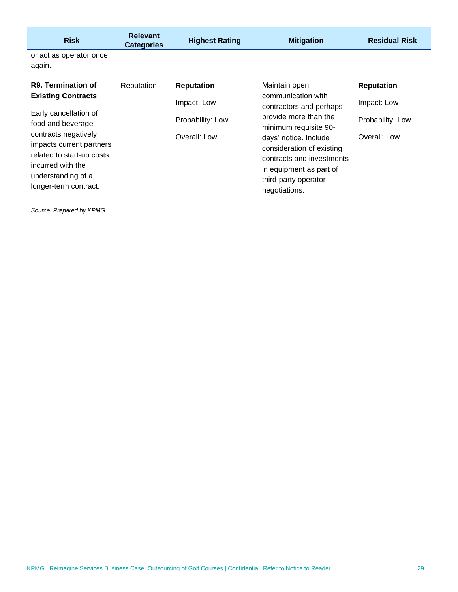| <b>Risk</b>                                                                                                                                                                                                                  | <b>Relevant</b><br><b>Categories</b> | <b>Highest Rating</b>                           | <b>Mitigation</b>                                                                                                                                                                                                                                      | <b>Residual Risk</b>                            |
|------------------------------------------------------------------------------------------------------------------------------------------------------------------------------------------------------------------------------|--------------------------------------|-------------------------------------------------|--------------------------------------------------------------------------------------------------------------------------------------------------------------------------------------------------------------------------------------------------------|-------------------------------------------------|
| or act as operator once<br>again.                                                                                                                                                                                            |                                      |                                                 |                                                                                                                                                                                                                                                        |                                                 |
| R9. Termination of                                                                                                                                                                                                           | Reputation                           | <b>Reputation</b>                               | Maintain open                                                                                                                                                                                                                                          | <b>Reputation</b>                               |
| <b>Existing Contracts</b><br>Early cancellation of<br>food and beverage<br>contracts negatively<br>impacts current partners<br>related to start-up costs<br>incurred with the<br>understanding of a<br>longer-term contract. |                                      | Impact: Low<br>Probability: Low<br>Overall: Low | communication with<br>contractors and perhaps<br>provide more than the<br>minimum requisite 90-<br>days' notice. Include<br>consideration of existing<br>contracts and investments<br>in equipment as part of<br>third-party operator<br>negotiations. | Impact: Low<br>Probability: Low<br>Overall: Low |
|                                                                                                                                                                                                                              |                                      |                                                 |                                                                                                                                                                                                                                                        |                                                 |

*Source: Prepared by KPMG.*